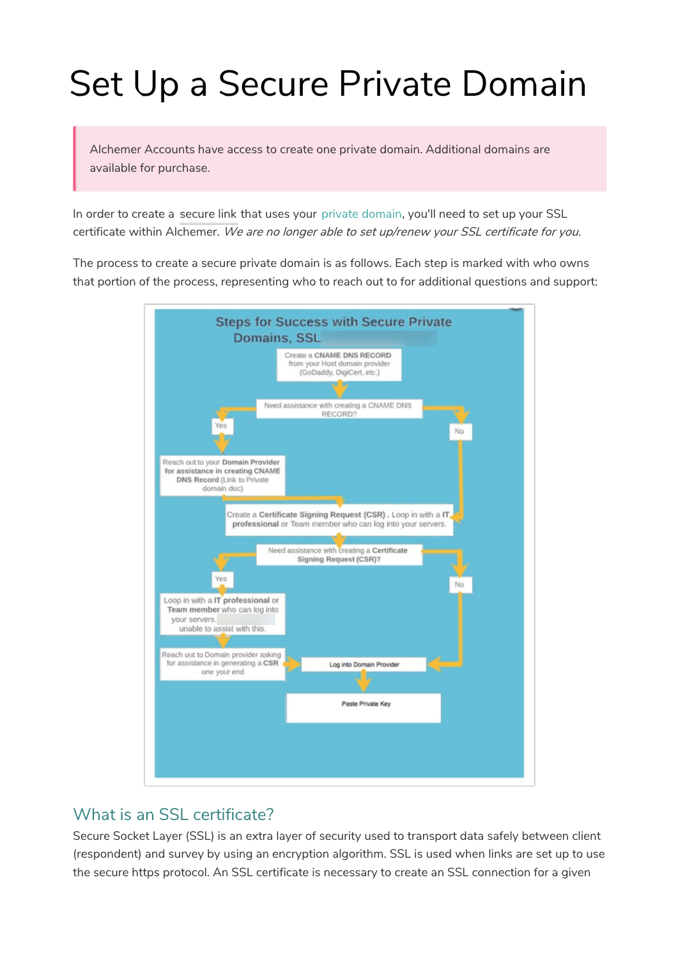# Set Up a Secure Private Domain

Alchemer Accounts have access to create one private domain. Additional domains are available for purchase.

In order to create a secure link that uses your private domain, you'll need to set up your SSL certificate within Alchemer. We are no longer able to set up/renew your SSL certificate for you.

The process to create a secure private domain is as follows. Each step is marked with who owns that portion of the process, representing who to reach out to for additional questions and support:



## What is an SSL certificate?

Secure Socket Layer (SSL) is an extra layer of security used to transport data safely between client (respondent) and survey by using an encryption algorithm. SSL is used when links are set up to use the secure https protocol. An SSL certificate is necessary to create an SSL connection for a given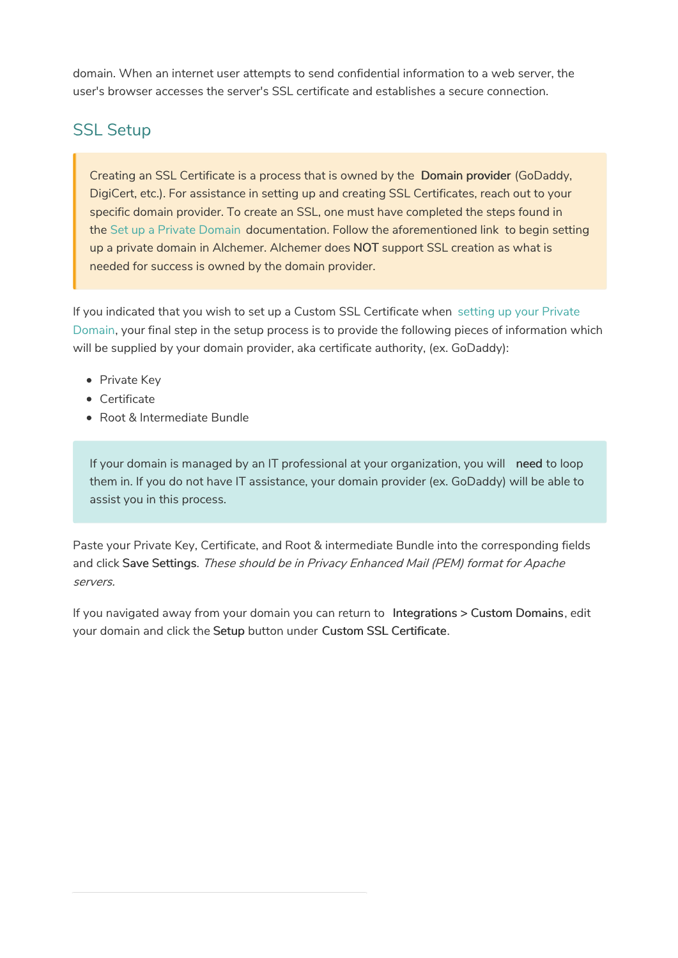domain. When an internet user attempts to send confidential information to a web server, the user's browser accesses the server's SSL certificate and establishes a secure connection.

# SSL Setup

Creating an SSL Certificate is a process that is owned by the Domain provider (GoDaddy, DigiCert, etc.). For assistance in setting up and creating SSL Certificates, reach out to your specific domain provider. To create an SSL, one must have completed the steps found in the Set up a Private Domain documentation. Follow the aforementioned link to begin setting up a private domain in Alchemer. Alchemer does NOT support SSL creation as what is needed for success is owned by the domain provider.

If you indicated that you wish to set up a Custom SSL Certificate when setting up your Private Domain, your final step in the setup process is to provide the following pieces of information which will be supplied by your domain provider, aka certificate authority, (ex. GoDaddy):

- Private Key
- Certificate
- Root & Intermediate Bundle

If your domain is managed by an IT professional at your organization, you will need to loop them in. If you do not have IT assistance, your domain provider (ex. GoDaddy) will be able to assist you in this process.

Paste your Private Key, Certificate, and Root & intermediate Bundle into the corresponding fields and click Save Settings. These should be in Privacy Enhanced Mail (PEM) format for Apache servers.

If you navigated away from your domain you can return to Integrations > Custom Domains, edit your domain and click the Setup button under Custom SSL Certificate.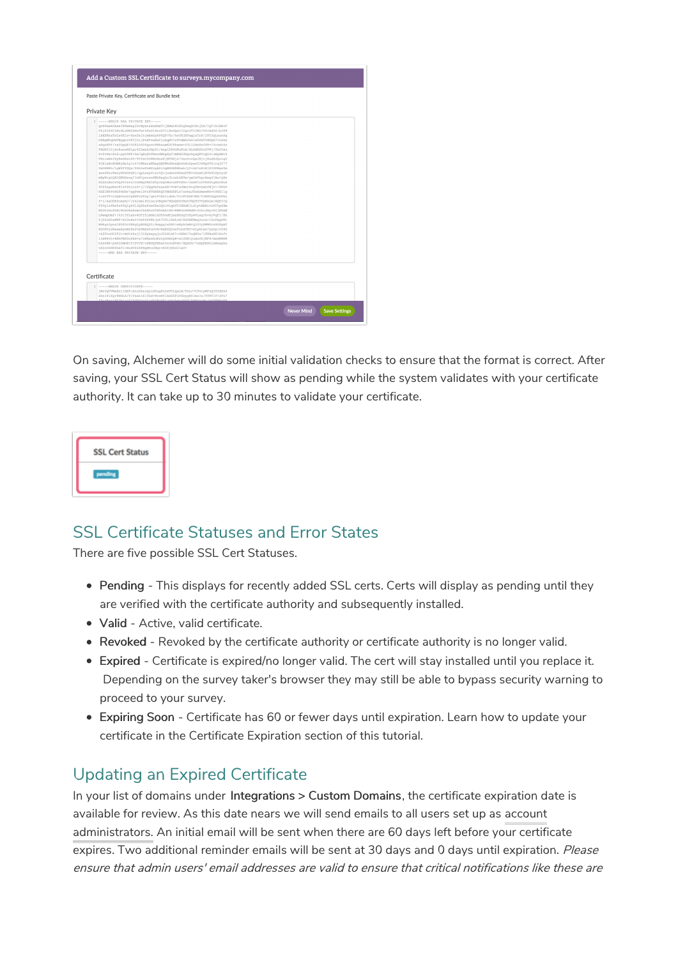| Private Key |                                                                                                                                                                                                                                                                                                                                                                                                                                                                                                                                                                                                                                                                                                                                                                                                                                                                                                                                                                                                                                                                                                                                                                                                                                                                                                                                                                                                                                                                                                                                                                                                                                                                                                                                                                                                                                                                                                                                                            |  |
|-------------|------------------------------------------------------------------------------------------------------------------------------------------------------------------------------------------------------------------------------------------------------------------------------------------------------------------------------------------------------------------------------------------------------------------------------------------------------------------------------------------------------------------------------------------------------------------------------------------------------------------------------------------------------------------------------------------------------------------------------------------------------------------------------------------------------------------------------------------------------------------------------------------------------------------------------------------------------------------------------------------------------------------------------------------------------------------------------------------------------------------------------------------------------------------------------------------------------------------------------------------------------------------------------------------------------------------------------------------------------------------------------------------------------------------------------------------------------------------------------------------------------------------------------------------------------------------------------------------------------------------------------------------------------------------------------------------------------------------------------------------------------------------------------------------------------------------------------------------------------------------------------------------------------------------------------------------------------------|--|
|             | 1 -----BEGIN RSA PRIVATE KEY-----<br>gyhPawX0Assf88wHag32tWywtaXxSGwTliXMwtNlK5gkwgO1Kuih8/1OT1kIARvf<br>Pkj634NI0AtMLzNM2bHnVwt5Su0lXco2TliBoOQotIfgcJVLJNk75YrRdD2/bJPH<br>lBKE8kxYcCz6RIo+Kon5sIhimXeZp490097Kr/koYRiK9gglcTrX/J9Y3qLouoZq<br>D9RpMCqOwTNqqLv2FCitLiPnXFzwSw2iubqECIzT5dmOJw4IzGZX91W00A7iUxks<br>zSqcE5F/tsCOpQf33CKi6f00govcFMkxumK2C9keww+U3L1LNeSs0fN+lYrbdu5z<br>9RGW315jzc8auzNSLpr6fLmnk3Gp91/xnpIPX4OKuKtA/dLOdES0uUVWj/YAJ5su<br>Sv2vDx+GL5+pvh0KFlhe7qHuSUfNevdW6pXvClMXH50WqvkpxOKYoO64iuNpGMt0<br>PEL1wM4IEvBsSKsL9F/9TfaC50NWcRnnKiWTSWi473az5cvOaJNiti8ndEJQutqU<br>93XIsEn8DMKyNalplt47cWReisNEevOBPWkSBvsQk4h6oDvanTJ4WpXVX1rg3f77<br>YeOPM9h/lqW2FYGQs/ZD64xPnMCcpADi3qWXUM9Mhab/yY+sb7e9vRjP3UPMxw5m<br>xazZDnrRwcvB5bDkbEj/qpLezpfizr4vtjoxbz2SXxnDTBIvGzmOjB3h9C2ptvuP<br>wByWiqtQ8JGWDSzuq73oNIpnczzSWb9aqLc3LiwLhEVw/qeUxVkprAeq4IAo/qXv<br>GLbUuXwIsVQJ5vz2alCsRNqTRGlB5vJnQtMucuOFZG6c+3xePIn2VkRULqHztRLG<br>3T2fnpeNsCHl4T2hIL22+j/lVQq8eTnsa6X+VcW7aJBmlRvqTHvhm02WjC+/08UO<br>KSEIM9ftWGFdOXr7qqFwkiDttWWN8hQ5YMdZKFLk7arbaJKxAOmxxW6vt98BIlq<br>tievTT+n3QAVnoLTpNSFx0Pxy/qArFvGsiideA/2tvPCXAFJEH/53M8CAQphDPbc<br>f+i/aaUGEfoAsRJ/iYalemi6OjuajOHqbw7HdzQ6R3HskTGp9UYVpKALmlXQF2IQ<br>FZVplnfBs5zhTqIqkUL3QZRaFzwZKs3Q0JvLqDfY2H8dKlL4LytMHALt6PC5p6Hm<br>H500JwofDXrWnSOAbSsmnfAhNhc6TE5GAbI8S+RMEnhzWBdE+4nhu3ByrHIjESwN<br>LRwmpUnf+/kfr3YLakv4UT251mOmldJh9odSjmzHkDqTJKywVLaqJ6v6yVqF1/Bk<br>Zj2ZnG2aWWF+kh3wSeY+Uw94kFEkjwk7U2LlKwLcB/SGGBKWmq2ncx+16cPQqkWi<br>HH6qn3pnalEUZ0c0ERqLpBDRQJLi9mqqqiw5R51eByA3mHvqlGIySWWOva9OGqwT<br>KGOPDje8eeeAyaMzBn4VyDNAs0uDvA+NqEfQ2znVLkxTBf+eLpbLxo7yybyi+k9n<br>+A35tnUU3fJr+Mdtk2sj13iKyAeyqjoJ2LHiAFl+2HRG/5nQW2e/lfNRxN51Nzft<br>lvxW4vL+BEkPB60oZXS+x7uNBxxZoKzvq5DAUpR+wiUDNlyudo2SjNF8/msdHWR8<br>h2n0H8/pkS3hMO8IPIFVJH7u9NUQPKRaZtk0nRVdt/HQx9O/7nRpKKBZiAWssphu<br>tM3cC6NK9hHfI+MuHV8iKFMqMYoUEQrrROXjN0d3Ie0=<br>------END RSA PRIVATE KEY----- |  |
| Certificate |                                                                                                                                                                                                                                                                                                                                                                                                                                                                                                                                                                                                                                                                                                                                                                                                                                                                                                                                                                                                                                                                                                                                                                                                                                                                                                                                                                                                                                                                                                                                                                                                                                                                                                                                                                                                                                                                                                                                                            |  |
|             | 1 ----- BEGIN CERTIFICATE -----<br>jWv3qVVWe6GlIdSFlAtnPbsJqzlB5uqPo2xVTLqoLB/5UcJ7C9vLyWF4qT2YdD64<br>xhnI9lXqr8NELR/ZlTaxLtXlfbd+WrxNflAkS5F2P6byqKZ3xoIn/YVKTlf+JPn7                                                                                                                                                                                                                                                                                                                                                                                                                                                                                                                                                                                                                                                                                                                                                                                                                                                                                                                                                                                                                                                                                                                                                                                                                                                                                                                                                                                                                                                                                                                                                                                                                                                                                                                                                                                    |  |

On saving, Alchemer will do some initial validation checks to ensure that the format is correct. After saving, your SSL Cert Status will show as pending while the system validates with your certificate authority. It can take up to 30 minutes to validate your certificate.



# SSL Certificate Statuses and Error States

There are five possible SSL Cert Statuses.

- Pending This displays for recently added SSL certs. Certs will display as pending until they are verified with the certificate authority and subsequently installed.
- Valid Active, valid certificate.
- Revoked Revoked by the certificate authority or certificate authority is no longer valid.
- Expired Certificate is expired/no longer valid. The cert will stay installed until you replace it. Depending on the survey taker's browser they may still be able to bypass security warning to proceed to your survey.
- Expiring Soon Certificate has 60 or fewer days until expiration. Learn how to update your certificate in the Certificate Expiration section of this tutorial.

# Updating an Expired Certificate

In your list of domains under Integrations > Custom Domains, the certificate expiration date is available for review. As this date nears we will send emails to all users set up as account administrators. An initial email will be sent when there are 60 days left before your certificate expires. Two additional reminder emails will be sent at 30 days and 0 days until expiration. Please ensure that admin users' email addresses are valid to ensure that critical notifications like these are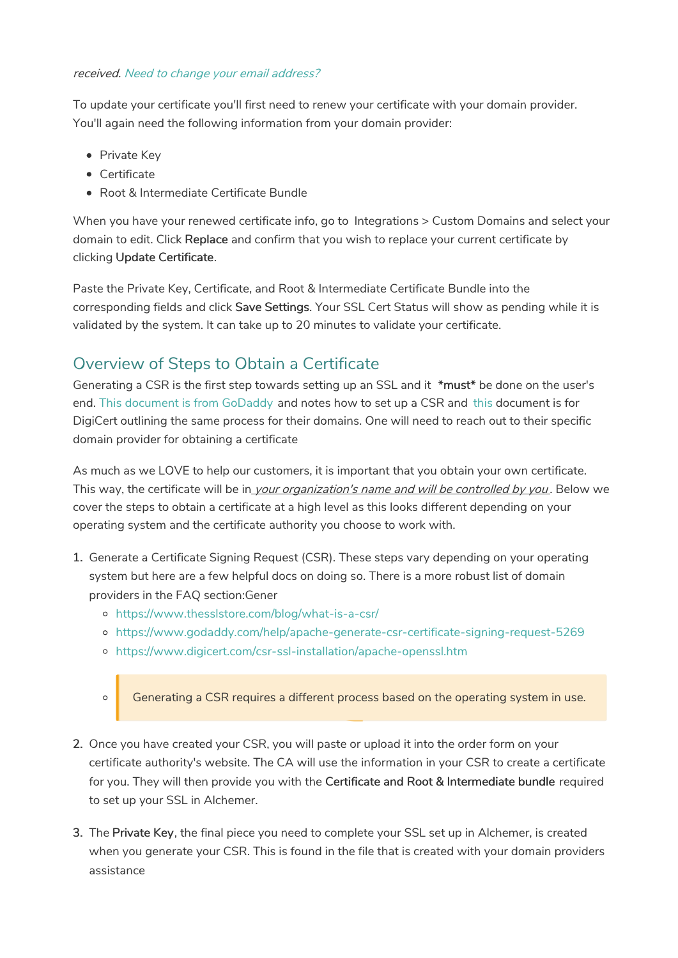## received. Need to change your email address?

To update your certificate you'll first need to renew your certificate with your domain provider. You'll again need the following information from your domain provider:

- Private Key
- Certificate

 $\circ$ 

Root & Intermediate Certificate Bundle

When you have your renewed certificate info, go to Integrations > Custom Domains and select your domain to edit. Click Replace and confirm that you wish to replace your current certificate by clicking Update Certificate.

Paste the Private Key, Certificate, and Root & Intermediate Certificate Bundle into the corresponding fields and click Save Settings. Your SSL Cert Status will show as pending while it is validated by the system. It can take up to 20 minutes to validate your certificate.

## Overview of Steps to Obtain a Certificate

Generating a CSR is the first step towards setting up an SSL and it \*must\* be done on the user's end. This document is from GoDaddy and notes how to set up a CSR and this document is for DigiCert outlining the same process for their domains. One will need to reach out to their specific domain provider for obtaining a certificate

As much as we LOVE to help our customers, it is important that you obtain your own certificate. This way, the certificate will be in *your organization's name and will be controlled by you*. Below we cover the steps to obtain a certificate at a high level as this looks different depending on your operating system and the certificate authority you choose to work with.

- 1. Generate a Certificate Signing Request (CSR). These steps vary depending on your operating system but here are a few helpful docs on doing so. There is a more robust list of domain providers in the FAQ section:Gener
	- https://www.thesslstore.com/blog/what-is-a-csr/
	- https://www.godaddy.com/help/apache-generate-csr-certificate-signing-request-5269
	- https://www.digicert.com/csr-ssl-installation/apache-openssl.htm

Generating a CSR requires a different process based on the operating system in use.

- 2. Once you have created your CSR, you will paste or upload it into the order form on your certificate authority's website. The CA will use the information in your CSR to create a certificate for you. They will then provide you with the Certificate and Root & Intermediate bundle required to set up your SSL in Alchemer.
- 3. The Private Key, the final piece you need to complete your SSL set up in Alchemer, is created when you generate your CSR. This is found in the file that is created with your domain providers assistance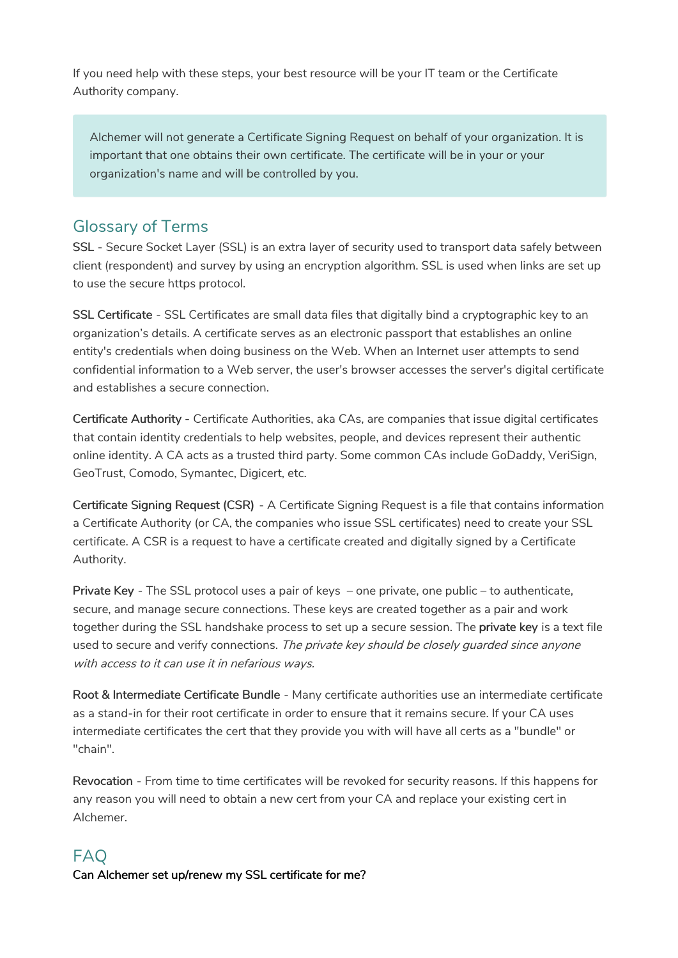If you need help with these steps, your best resource will be your IT team or the Certificate Authority company.

Alchemer will not generate a Certificate Signing Request on behalf of your organization. It is important that one obtains their own certificate. The certificate will be in your or your organization's name and will be controlled by you.

## Glossary of Terms

SSL - Secure Socket Layer (SSL) is an extra layer of security used to transport data safely between client (respondent) and survey by using an encryption algorithm. SSL is used when links are set up to use the secure https protocol.

SSL Certificate - SSL Certificates are small data files that digitally bind a cryptographic key to an organization's details. A certificate serves as an electronic passport that establishes an online entity's credentials when doing business on the Web. When an Internet user attempts to send confidential information to a Web server, the user's browser accesses the server's digital certificate and establishes a secure connection.

Certificate Authority - Certificate Authorities, aka CAs, are companies that issue digital certificates that contain identity credentials to help websites, people, and devices represent their authentic online identity. A CA acts as a trusted third party. Some common CAs include GoDaddy, VeriSign, GeoTrust, Comodo, Symantec, Digicert, etc.

Certificate Signing Request (CSR) - A Certificate Signing Request is a file that contains information a Certificate Authority (or CA, the companies who issue SSL certificates) need to create your SSL certificate. A CSR is a request to have a certificate created and digitally signed by a Certificate Authority.

Private Key - The SSL protocol uses a pair of keys – one private, one public – to authenticate, secure, and manage secure connections. These keys are created together as a pair and work together during the SSL handshake process to set up a secure session. The private key is a text file used to secure and verify connections. The private key should be closely guarded since anyone with access to it can use it in nefarious ways.

Root & Intermediate Certificate Bundle - Many certificate authorities use an intermediate certificate as a stand-in for their root certificate in order to ensure that it remains secure. If your CA uses intermediate certificates the cert that they provide you with will have all certs as a "bundle" or "chain".

Revocation - From time to time certificates will be revoked for security reasons. If this happens for any reason you will need to obtain a new cert from your CA and replace your existing cert in Alchemer.

## FAQ Can Alchemer set up/renew my SSL certificate for me?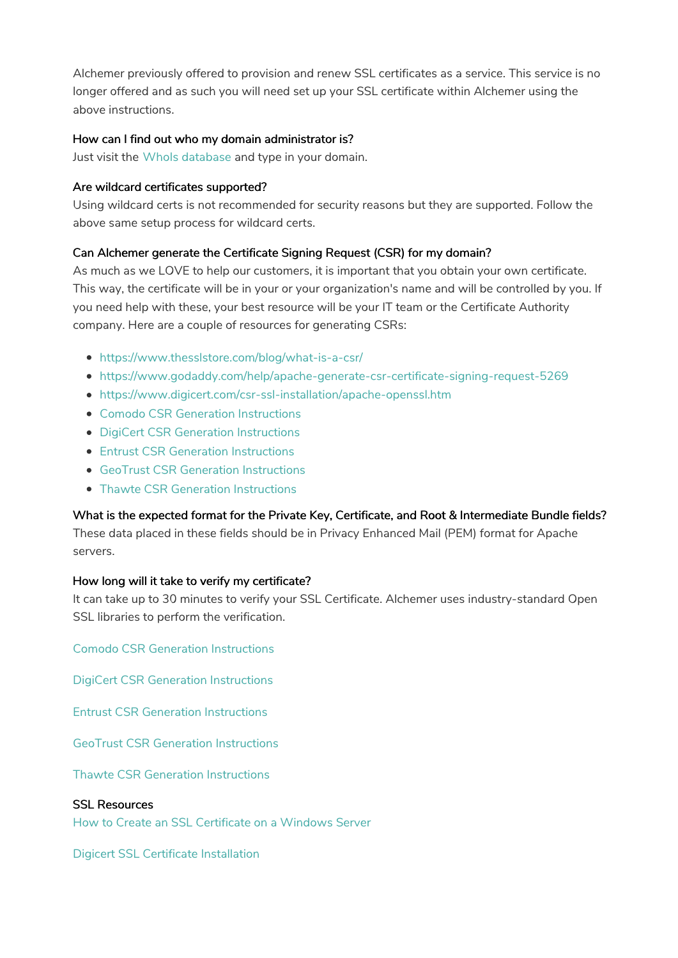Alchemer previously offered to provision and renew SSL certificates as a service. This service is no longer offered and as such you will need set up your SSL certificate within Alchemer using the above instructions.

## How can I find out who my domain administrator is?

Just visit the WhoIs database and type in your domain.

#### Are wildcard certificates supported?

Using wildcard certs is not recommended for security reasons but they are supported. Follow the above same setup process for wildcard certs.

## Can Alchemer generate the Certificate Signing Request (CSR) for my domain?

As much as we LOVE to help our customers, it is important that you obtain your own certificate. This way, the certificate will be in your or your organization's name and will be controlled by you. If you need help with these, your best resource will be your IT team or the Certificate Authority company. Here are a couple of resources for generating CSRs:

- https://www.thesslstore.com/blog/what-is-a-csr/
- https://www.godaddy.com/help/apache-generate-csr-certificate-signing-request-5269
- https://www.digicert.com/csr-ssl-installation/apache-openssl.htm
- Comodo CSR Generation Instructions
- DigiCert CSR Generation Instructions
- Entrust CSR Generation Instructions
- GeoTrust CSR Generation Instructions
- Thawte CSR Generation Instructions

## What is the expected format for the Private Key, Certificate, and Root & Intermediate Bundle fields?

These data placed in these fields should be in Privacy Enhanced Mail (PEM) format for Apache servers.

## How long will it take to verify my certificate?

It can take up to 30 minutes to verify your SSL Certificate. Alchemer uses industry-standard Open SSL libraries to perform the verification.

Comodo CSR Generation Instructions

DigiCert CSR Generation Instructions

Entrust CSR Generation Instructions

GeoTrust CSR Generation Instructions

Thawte CSR Generation Instructions

## SSL Resources

How to Create an SSL Certificate on a Windows Server

Digicert SSL Certificate Installation